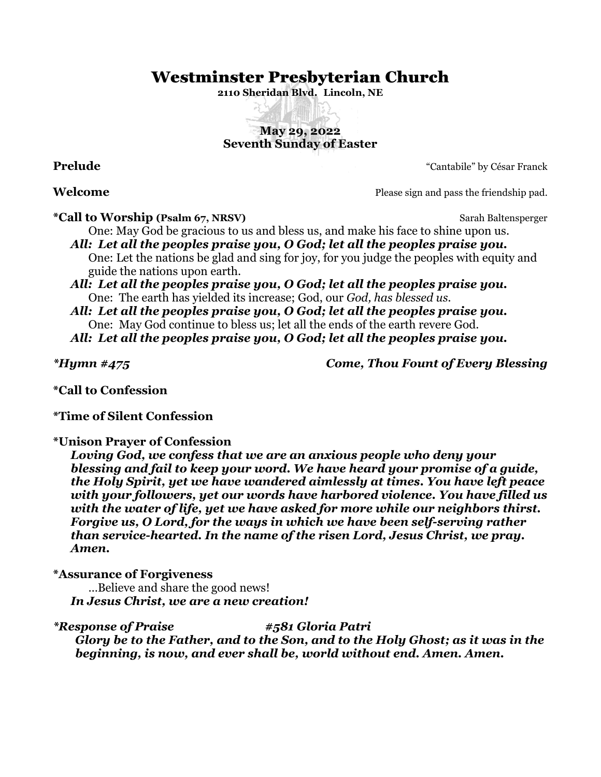# Westminster Presbyterian Church

**2110 Sheridan Blvd. Lincoln, NE**

# **May 29, 2022 Seventh Sunday of Easter**

**Prelude** "Cantabile" by César Franck

**Welcome** Please sign and pass the friendship pad.

**\*Call to Worship (Psalm 67, NRSV)** Sarah Baltensperger

One: May God be gracious to us and bless us, and make his face to shine upon us. *All: Let all the peoples praise you, O God; let all the peoples praise you.*

One: Let the nations be glad and sing for joy, for you judge the peoples with equity and guide the nations upon earth.

*All: Let all the peoples praise you, O God; let all the peoples praise you.* One: The earth has yielded its increase; God, our *God, has blessed us.*

*All: Let all the peoples praise you, O God; let all the peoples praise you.* One: May God continue to bless us; let all the ends of the earth revere God.

*All: Let all the peoples praise you, O God; let all the peoples praise you.*

*\*Hymn #475 Come, Thou Fount of Every Blessing*

**\*Call to Confession**

**\*Time of Silent Confession**

**\*Unison Prayer of Confession**

*Loving God, we confess that we are an anxious people who deny your blessing and fail to keep your word. We have heard your promise of a guide, the Holy Spirit, yet we have wandered aimlessly at times. You have left peace with your followers, yet our words have harbored violence. You have filled us with the water of life, yet we have asked for more while our neighbors thirst. Forgive us, O Lord, for the ways in which we have been self-serving rather than service-hearted. In the name of the risen Lord, Jesus Christ, we pray. Amen.*

**\*Assurance of Forgiveness**

…Believe and share the good news! *In Jesus Christ, we are a new creation!*

*\*Response of Praise #581 Gloria Patri Glory be to the Father, and to the Son, and to the Holy Ghost; as it was in the beginning, is now, and ever shall be, world without end. Amen. Amen.*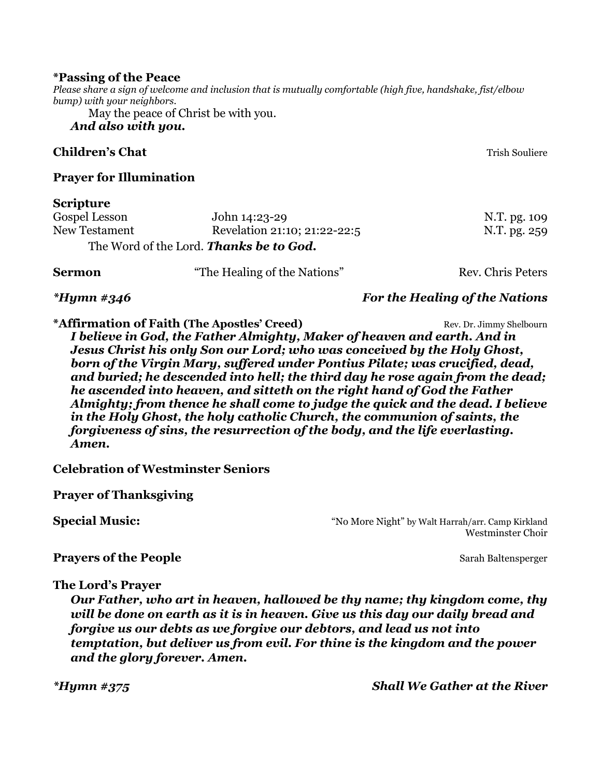#### **\*Passing of the Peace**

*Please share a sign of welcome and inclusion that is mutually comfortable (high five, handshake, fist/elbow bump) with your neighbors.*

May the peace of Christ be with you.

# *And also with you.*

### **Children's Chat** Trish Souliere and Trish Souliere and Trish Souliere and Trish Souliere and Trish Souliere and Trish Souliere and Trish Souliere and Trish Souliere and Trish Souliere and Trish Souliere and Trish Souliere

# **Prayer for Illumination**

# **Scripture**

| Gospel Lesson | John 14:23-29                                  | N.T. pg. 109      |  |
|---------------|------------------------------------------------|-------------------|--|
| New Testament | Revelation 21:10; 21:22-22:5                   | N.T. pg. 259      |  |
|               | The Word of the Lord. <b>Thanks be to God.</b> |                   |  |
| <b>Sermon</b> | "The Healing of the Nations"                   | Rev. Chris Peters |  |

# *\*Hymn #346 For the Healing of the Nations*

**\*Affirmation of Faith (The Apostles' Creed)** Rev. Dr. Jimmy Shelbourn *I believe in God, the Father Almighty, Maker of heaven and earth. And in Jesus Christ his only Son our Lord; who was conceived by the Holy Ghost, born of the Virgin Mary, suffered under Pontius Pilate; was crucified, dead, and buried; he descended into hell; the third day he rose again from the dead; he ascended into heaven, and sitteth on the right hand of God the Father Almighty; from thence he shall come to judge the quick and the dead. I believe in the Holy Ghost, the holy catholic Church, the communion of saints, the forgiveness of sins, the resurrection of the body, and the life everlasting. Amen.*

**Celebration of Westminster Seniors**

**Prayer of Thanksgiving**

**Special Music:**  $\bullet$  "No More Night" by Walt Harrah/arr. Camp Kirkland Westminster Choir

### **Prayers of the People** Sarah Baltensperger

**The Lord's Prayer**

*Our Father, who art in heaven, hallowed be thy name; thy kingdom come, thy will be done on earth as it is in heaven. Give us this day our daily bread and forgive us our debts as we forgive our debtors, and lead us not into temptation, but deliver us from evil. For thine is the kingdom and the power and the glory forever. Amen.*

*\*Hymn #375 Shall We Gather at the River*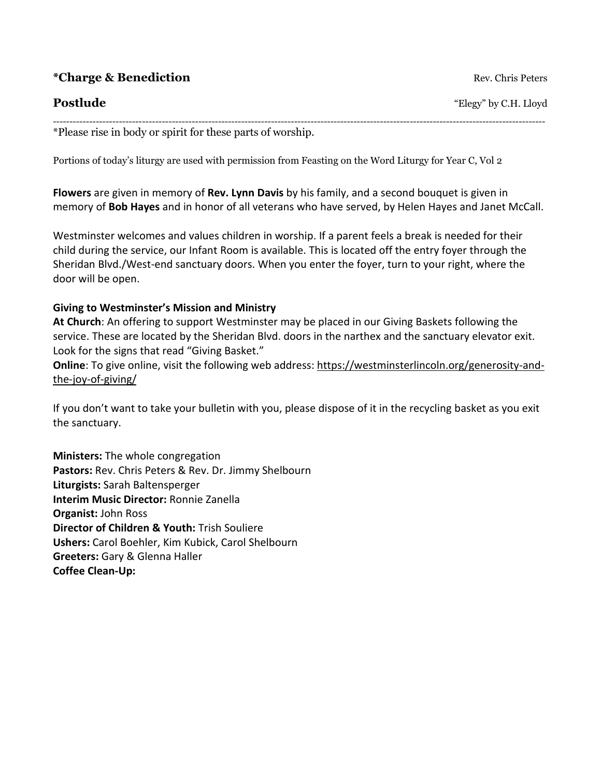|  |  | <i><b>*Charge &amp; Benediction</b></i> |
|--|--|-----------------------------------------|
|--|--|-----------------------------------------|

 $Rev.$  Chris Peters

**Postlude** "Elegy" by C.H. Lloyd

-----------------------------------------------------------------------------------------------------------------------------------------------------

\*Please rise in body or spirit for these parts of worship.

Portions of today's liturgy are used with permission from Feasting on the Word Liturgy for Year C, Vol 2

**Flowers** are given in memory of **Rev. Lynn Davis** by his family, and a second bouquet is given in memory of **Bob Hayes** and in honor of all veterans who have served, by Helen Hayes and Janet McCall.

Westminster welcomes and values children in worship. If a parent feels a break is needed for their child during the service, our Infant Room is available. This is located off the entry foyer through the Sheridan Blvd./West-end sanctuary doors. When you enter the foyer, turn to your right, where the door will be open.

### **Giving to Westminster's Mission and Ministry**

**At Church**: An offering to support Westminster may be placed in our Giving Baskets following the service. These are located by the Sheridan Blvd. doors in the narthex and the sanctuary elevator exit. Look for the signs that read "Giving Basket."

**Online**: To give online, visit the following web address: [https://westminsterlincoln.org/generosity-and](https://westminsterlincoln.org/generosity-and-the-joy-of-giving/)[the-joy-of-giving/](https://westminsterlincoln.org/generosity-and-the-joy-of-giving/)

If you don't want to take your bulletin with you, please dispose of it in the recycling basket as you exit the sanctuary.

**Ministers:** The whole congregation **Pastors:** Rev. Chris Peters & Rev. Dr. Jimmy Shelbourn **Liturgists:** Sarah Baltensperger **Interim Music Director:** Ronnie Zanella **Organist:** John Ross **Director of Children & Youth:** Trish Souliere **Ushers:** Carol Boehler, Kim Kubick, Carol Shelbourn **Greeters:** Gary & Glenna Haller **Coffee Clean-Up:**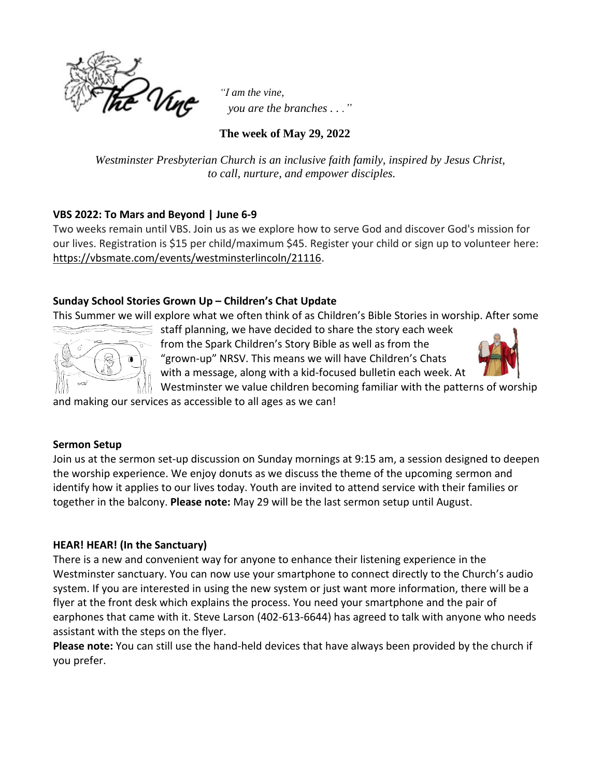

*"I am the vine, you are the branches . . ."*

**The week of May 29, 2022**

*Westminster Presbyterian Church is an inclusive faith family, inspired by Jesus Christ, to call, nurture, and empower disciples.*

# **VBS 2022: To Mars and Beyond | June 6-9**

Two weeks remain until VBS. Join us as we explore how to serve God and discover God's mission for our lives. Registration is \$15 per child/maximum \$45. Register your child or sign up to volunteer here: [https://vbsmate.com/events/westminsterlincoln/21116.](https://l.facebook.com/l.php?u=https%3A%2F%2Fvbsmate.com%2Fevents%2Fwestminsterlincoln%2F21116%3Ffbclid%3DIwAR2IeWvJlBfThxJOFr7xCzbjQwZcJGaojsLbOu7od1SVKqZ2n4LtScaR2gQ&h=AT2qvlEunUpkYb6_n4z8ePv0YfvAJ1tZzFpJZxkikNo92FxTHo0r6RtPnDCm5b99QUyKoFcksSI66nYl4LwKU1vB5iIFL_ERq1uqRBwb5wrlhMOefosEaK0fBDQ79Dx5C5Y_&__tn__=-UK-R&c%5b0%5d=AT1eLocyym6b6tOgans3RFiii-irxDwssXa_rP1Q_qE4JGWDDsskAOfvItoxyf9pMQVUD5swm7aGOAD9_VOQO_6RfpA44nyKJaKiLaSJhT1WRqAFs8vVlgczSfadsINTXqbSJARcgVz-_YW-dMPqcwmWOA-9XHmNHFu0PocM1XuaNoM-NvQmaKedH5LnhRHIOL9NXP-s3g49TBUmx9PvOyfTiHK0oyg)

# **Sunday School Stories Grown Up – Children's Chat Update**

This Summer we will explore what we often think of as Children's Bible Stories in worship. After some



staff planning, we have decided to share the story each week from the Spark Children's Story Bible as well as from the "grown-up" NRSV. This means we will have Children's Chats with a message, along with a kid-focused bulletin each week. At



Westminster we value children becoming familiar with the patterns of worship

and making our services as accessible to all ages as we can!

# **Sermon Setup**

Join us at the sermon set-up discussion on Sunday mornings at 9:15 am, a session designed to deepen the worship experience. We enjoy donuts as we discuss the theme of the upcoming sermon and identify how it applies to our lives today. Youth are invited to attend service with their families or together in the balcony. **Please note:** May 29 will be the last sermon setup until August.

# **HEAR! HEAR! (In the Sanctuary)**

There is a new and convenient way for anyone to enhance their listening experience in the Westminster sanctuary. You can now use your smartphone to connect directly to the Church's audio system. If you are interested in using the new system or just want more information, there will be a flyer at the front desk which explains the process. You need your smartphone and the pair of earphones that came with it. Steve Larson (402-613-6644) has agreed to talk with anyone who needs assistant with the steps on the flyer.

**Please note:** You can still use the hand-held devices that have always been provided by the church if you prefer.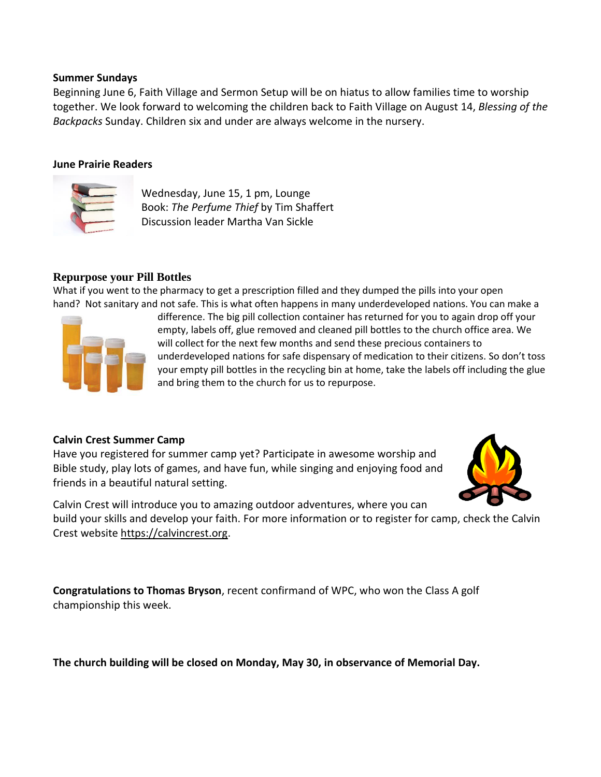#### **Summer Sundays**

Beginning June 6, Faith Village and Sermon Setup will be on hiatus to allow families time to worship together. We look forward to welcoming the children back to Faith Village on August 14, *Blessing of the Backpacks* Sunday. Children six and under are always welcome in the nursery.

#### **June Prairie Readers**



Wednesday, June 15, 1 pm, Lounge Book: *The Perfume Thief* by Tim Shaffert Discussion leader Martha Van Sickle

#### **Repurpose your Pill Bottles**

What if you went to the pharmacy to get a prescription filled and they dumped the pills into your open hand? Not sanitary and not safe. This is what often happens in many underdeveloped nations. You can make a



difference. The big pill collection container has returned for you to again drop off your empty, labels off, glue removed and cleaned pill bottles to the church office area. We will collect for the next few months and send these precious containers to underdeveloped nations for safe dispensary of medication to their citizens. So don't toss your empty pill bottles in the recycling bin at home, take the labels off including the glue and bring them to the church for us to repurpose.

#### **Calvin Crest Summer Camp**

Have you registered for summer camp yet? Participate in awesome worship and Bible study, play lots of games, and have fun, while singing and enjoying food and friends in a beautiful natural setting.



Calvin Crest will introduce you to amazing outdoor adventures, where you can build your skills and develop your faith. For more information or to register for camp, check the Calvin Crest website [https://calvincrest.org.](https://r20.rs6.net/tn.jsp?f=001BNtLKR0gu6iY3mQA1MCT8ng7zxbycgLNVuPzhSBCww4NWYEv0HpKjNoNsOv-1T9kTjcrw-fZAzq_R741t77fbs1fV-9B1ztpaQqjZYBR9Owvd4vSLkqiGZIfsh_cGk72y027islGZmMW8CYyx8kOcg==&c=&ch=)

**Congratulations to Thomas Bryson**, recent confirmand of WPC, who won the Class A golf championship this week.

**The church building will be closed on Monday, May 30, in observance of Memorial Day.**